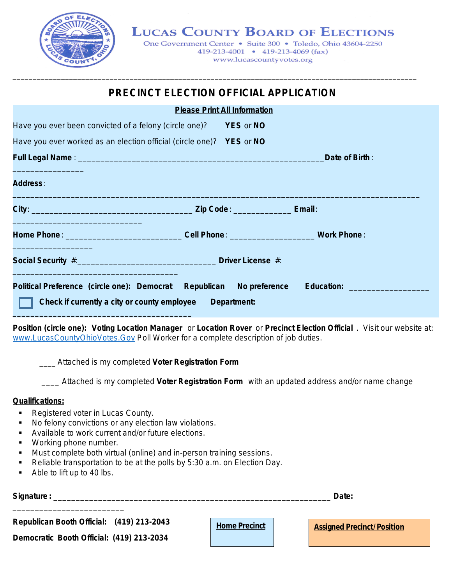

## **LUCAS COUNTY BOARD OF ELECTIONS**

One Government Center • Suite 300 • Toledo, Ohio 43604-2250 419-213-4001 • 419-213-4069 (fax) www.lucascountyvotes.org

## **PRECINCT ELECTION OFFICIAL APPLICATION**

\_\_\_\_\_\_\_\_\_\_\_\_\_\_\_\_\_\_\_\_\_\_\_\_\_\_\_\_\_\_\_\_\_\_\_\_\_\_\_\_\_\_\_\_\_\_\_\_\_\_\_\_\_\_\_\_\_\_\_\_\_\_\_\_\_\_\_\_\_\_\_\_\_\_\_\_\_\_\_\_\_\_\_\_\_\_\_\_\_\_\_\_\_\_\_\_\_\_\_\_

|                                                                                                                                                                          | <b>Please Print All Information</b> |                                       |
|--------------------------------------------------------------------------------------------------------------------------------------------------------------------------|-------------------------------------|---------------------------------------|
| Have you ever been convicted of a felony (circle one)?                                                                                                                   | <b>PES or NO</b>                    |                                       |
| Have you ever worked as an election official (circle one)? YES or NO                                                                                                     |                                     |                                       |
|                                                                                                                                                                          |                                     | Date of Birth:                        |
| <b>Address:</b>                                                                                                                                                          |                                     |                                       |
|                                                                                                                                                                          |                                     |                                       |
| Home Phone: Work Phone: Work Phone: Work Phone:<br><u> 1989 - Jan Sterlinger, skriuwer fan it ferstjer fan it ferstjer fan it ferstjer fan it ferstjer fan it ferstj</u> |                                     |                                       |
|                                                                                                                                                                          |                                     |                                       |
| Political Preference (circle one): Democrat Republican No preference<br>Check if currently a city or county employee Department:                                         |                                     | <b>Education: Exercise Education:</b> |

**Position (circle one): Voting Location Manager** or **Location Rover** or **Precinct Election Official** . Visit our website at: www.LucasCountyOhioVotes.Gov Poll Worker for a complete description of job duties.

\_\_\_\_ Attached is my completed **Voter Registration Form**

\_\_\_\_ Attached is my completed **Voter Registration Form** with an updated address and/or name change

## **Qualifications:**

- Registered voter in Lucas County.
- No felony convictions or any election law violations.
- Available to work current and/or future elections.
- **Working phone number.**
- **Must complete both virtual (online) and in-person training sessions.**
- Reliable transportation to be at the polls by 5:30 a.m. on Election Day.
- Able to lift up to 40 lbs.

\_\_\_\_\_\_\_\_\_\_\_\_\_\_\_\_\_\_\_\_\_\_\_\_\_

**Signature :** \_\_\_\_\_\_\_\_\_\_\_\_\_\_\_\_\_\_\_\_\_\_\_\_\_\_\_\_\_\_\_\_\_\_\_\_\_\_\_\_\_\_\_\_\_\_\_\_\_\_\_\_\_\_\_\_\_\_\_\_\_\_ **Date:**

**Republican Booth Official: (419) 213-2043**

**Democratic Booth Official: (419) 213-2034**

**Home Precinct Assigned Precinct/Position**